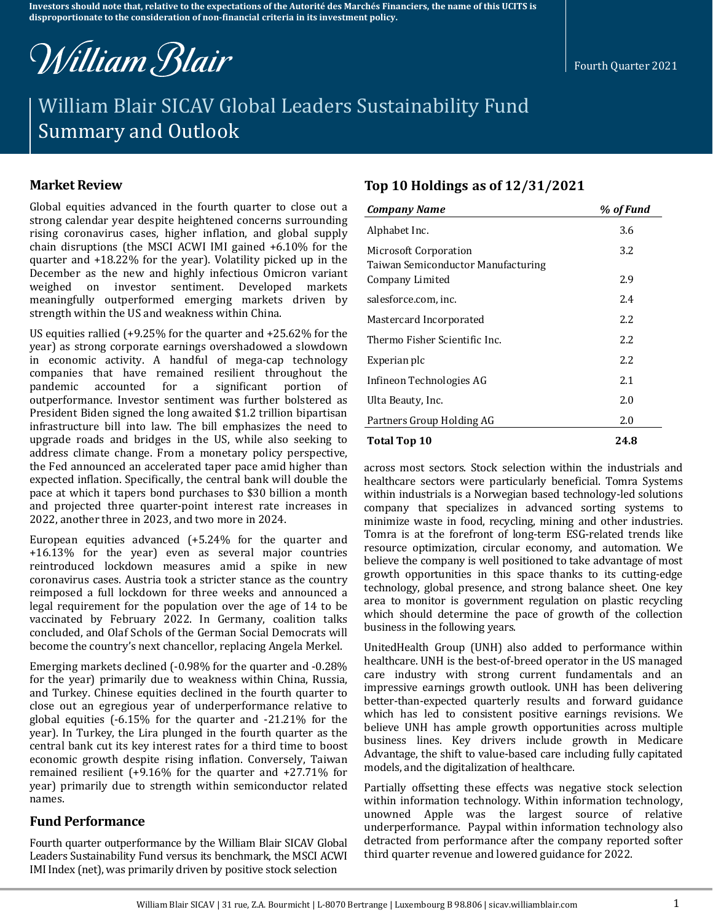**Investors should note that, relative to the expectations of the Autorité des Marchés Financiers, the name of this UCITS is disproportionate to the consideration of non-financial criteria in its investment policy.**

William Blair

# William Blair SICAV Global Leaders Sustainability Fund Summary and Outlook

Global equities advanced in the fourth quarter to close out a strong calendar year despite heightened concerns surrounding rising coronavirus cases, higher inflation, and global supply chain disruptions (the MSCI ACWI IMI gained +6.10% for the quarter and +18.22% for the year). Volatility picked up in the December as the new and highly infectious Omicron variant weighed on investor sentiment. Developed markets meaningfully outperformed emerging markets driven by strength within the US and weakness within China.

US equities rallied (+9.25% for the quarter and +25.62% for the year) as strong corporate earnings overshadowed a slowdown in economic activity. A handful of mega-cap technology companies that have remained resilient throughout the pandemic accounted for a significant portion of outperformance. Investor sentiment was further bolstered as President Biden signed the long awaited \$1.2 trillion bipartisan infrastructure bill into law. The bill emphasizes the need to upgrade roads and bridges in the US, while also seeking to address climate change. From a monetary policy perspective, the Fed announced an accelerated taper pace amid higher than expected inflation. Specifically, the central bank will double the pace at which it tapers bond purchases to \$30 billion a month and projected three quarter-point interest rate increases in 2022, another three in 2023, and two more in 2024.

European equities advanced (+5.24% for the quarter and +16.13% for the year) even as several major countries reintroduced lockdown measures amid a spike in new coronavirus cases. Austria took a stricter stance as the country reimposed a full lockdown for three weeks and announced a legal requirement for the population over the age of 14 to be vaccinated by February 2022. In Germany, coalition talks concluded, and Olaf Schols of the German Social Democrats will become the country's next chancellor, replacing Angela Merkel.

Emerging markets declined (-0.98% for the quarter and -0.28% for the year) primarily due to weakness within China, Russia, and Turkey. Chinese equities declined in the fourth quarter to close out an egregious year of underperformance relative to global equities (-6.15% for the quarter and -21.21% for the year). In Turkey, the Lira plunged in the fourth quarter as the central bank cut its key interest rates for a third time to boost economic growth despite rising inflation. Conversely, Taiwan remained resilient (+9.16% for the quarter and +27.71% for year) primarily due to strength within semiconductor related names.

# **Fund Performance**

Fourth quarter outperformance by the William Blair SICAV Global Leaders Sustainability Fund versus its benchmark, the MSCI ACWI IMI Index (net), was primarily driven by positive stock selection

# **Market Review Top 10 Holdings as of 12/31/2021**

| <b>Company Name</b>                                         | % of Fund |
|-------------------------------------------------------------|-----------|
| Alphabet Inc.                                               | 3.6       |
| Microsoft Corporation<br>Taiwan Semiconductor Manufacturing | 3.2       |
| Company Limited                                             | 2.9       |
| salesforce.com, inc.                                        | 2.4       |
| Mastercard Incorporated                                     | 2.2       |
| Thermo Fisher Scientific Inc.                               | 2.2       |
| Experian plc                                                | 2.2       |
| Infineon Technologies AG                                    | 2.1       |
| Ulta Beauty, Inc.                                           | 2.0       |
| Partners Group Holding AG                                   | 2.0       |
| Total Top 10                                                | 24.8      |

across most sectors. Stock selection within the industrials and healthcare sectors were particularly beneficial. Tomra Systems within industrials is a Norwegian based technology-led solutions company that specializes in advanced sorting systems to minimize waste in food, recycling, mining and other industries. Tomra is at the forefront of long-term ESG-related trends like resource optimization, circular economy, and automation. We believe the company is well positioned to take advantage of most growth opportunities in this space thanks to its cutting-edge technology, global presence, and strong balance sheet. One key area to monitor is government regulation on plastic recycling which should determine the pace of growth of the collection business in the following years.

UnitedHealth Group (UNH) also added to performance within healthcare. UNH is the best-of-breed operator in the US managed care industry with strong current fundamentals and an impressive earnings growth outlook. UNH has been delivering better-than-expected quarterly results and forward guidance which has led to consistent positive earnings revisions. We believe UNH has ample growth opportunities across multiple business lines. Key drivers include growth in Medicare Advantage, the shift to value-based care including fully capitated models, and the digitalization of healthcare.

Partially offsetting these effects was negative stock selection within information technology. Within information technology, unowned Apple was the largest source of relative underperformance. Paypal within information technology also detracted from performance after the company reported softer third quarter revenue and lowered guidance for 2022.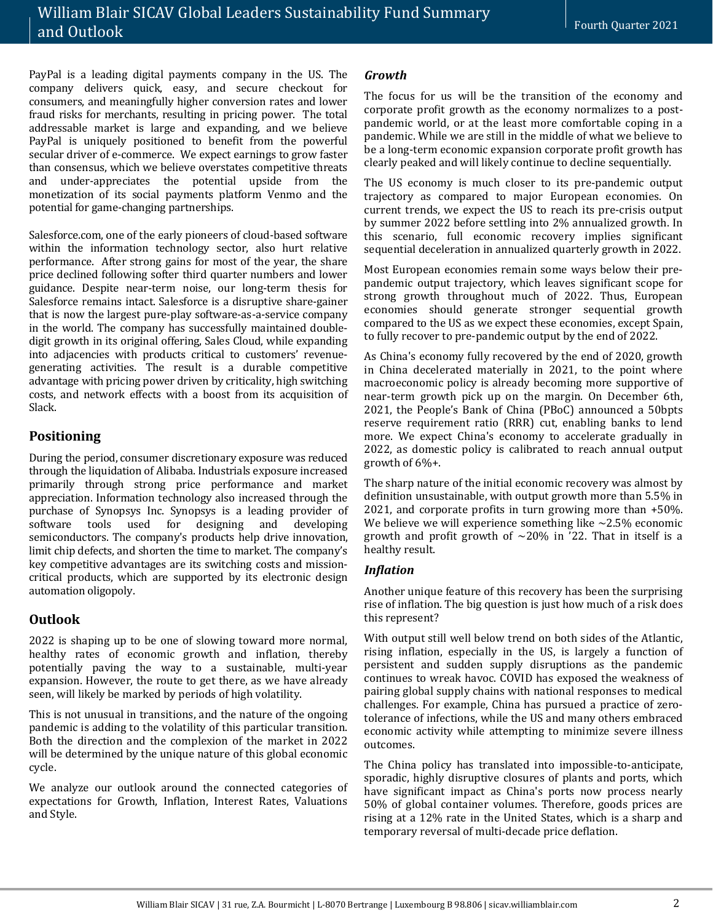PayPal is a leading digital payments company in the US. The company delivers quick, easy, and secure checkout for consumers, and meaningfully higher conversion rates and lower fraud risks for merchants, resulting in pricing power. The total addressable market is large and expanding, and we believe PayPal is uniquely positioned to benefit from the powerful secular driver of e-commerce. We expect earnings to grow faster than consensus, which we believe overstates competitive threats and under-appreciates the potential upside from the monetization of its social payments platform Venmo and the potential for game-changing partnerships.

Salesforce.com, one of the early pioneers of cloud-based software within the information technology sector, also hurt relative performance. After strong gains for most of the year, the share price declined following softer third quarter numbers and lower guidance. Despite near-term noise, our long-term thesis for Salesforce remains intact. Salesforce is a disruptive share-gainer that is now the largest pure-play software-as-a-service company in the world. The company has successfully maintained doubledigit growth in its original offering, Sales Cloud, while expanding into adjacencies with products critical to customers' revenuegenerating activities. The result is a durable competitive advantage with pricing power driven by criticality, high switching costs, and network effects with a boost from its acquisition of Slack.

# **Positioning**

During the period, consumer discretionary exposure was reduced through the liquidation of Alibaba. Industrials exposure increased primarily through strong price performance and market appreciation. Information technology also increased through the purchase of Synopsys Inc. Synopsys is a leading provider of software tools used for designing and developing semiconductors. The company's products help drive innovation, limit chip defects, and shorten the time to market. The company's key competitive advantages are its switching costs and missioncritical products, which are supported by its electronic design automation oligopoly.

# **Outlook**

2022 is shaping up to be one of slowing toward more normal, healthy rates of economic growth and inflation, thereby potentially paving the way to a sustainable, multi-year expansion. However, the route to get there, as we have already seen, will likely be marked by periods of high volatility.

This is not unusual in transitions, and the nature of the ongoing pandemic is adding to the volatility of this particular transition. Both the direction and the complexion of the market in 2022 will be determined by the unique nature of this global economic cycle.

We analyze our outlook around the connected categories of expectations for Growth, Inflation, Interest Rates, Valuations and Style.

#### *Growth*

The focus for us will be the transition of the economy and corporate profit growth as the economy normalizes to a postpandemic world, or at the least more comfortable coping in a pandemic. While we are still in the middle of what we believe to be a long-term economic expansion corporate profit growth has clearly peaked and will likely continue to decline sequentially.

The US economy is much closer to its pre-pandemic output trajectory as compared to major European economies. On current trends, we expect the US to reach its pre-crisis output by summer 2022 before settling into 2% annualized growth. In this scenario, full economic recovery implies significant sequential deceleration in annualized quarterly growth in 2022.

Most European economies remain some ways below their prepandemic output trajectory, which leaves significant scope for strong growth throughout much of 2022. Thus, European economies should generate stronger sequential growth compared to the US as we expect these economies, except Spain, to fully recover to pre-pandemic output by the end of 2022.

As China's economy fully recovered by the end of 2020, growth in China decelerated materially in 2021, to the point where macroeconomic policy is already becoming more supportive of near-term growth pick up on the margin. On December 6th, 2021, the People's Bank of China (PBoC) announced a 50bpts reserve requirement ratio (RRR) cut, enabling banks to lend more. We expect China's economy to accelerate gradually in 2022, as domestic policy is calibrated to reach annual output growth of 6%+.

The sharp nature of the initial economic recovery was almost by definition unsustainable, with output growth more than 5.5% in 2021, and corporate profits in turn growing more than +50%. We believe we will experience something like  $\sim$ 2.5% economic growth and profit growth of  $\sim$ 20% in '22. That in itself is a healthy result.

# *Inflation*

Another unique feature of this recovery has been the surprising rise of inflation. The big question is just how much of a risk does this represent?

With output still well below trend on both sides of the Atlantic, rising inflation, especially in the US, is largely a function of persistent and sudden supply disruptions as the pandemic continues to wreak havoc. COVID has exposed the weakness of pairing global supply chains with national responses to medical challenges. For example, China has pursued a practice of zerotolerance of infections, while the US and many others embraced economic activity while attempting to minimize severe illness outcomes.

The China policy has translated into impossible-to-anticipate, sporadic, highly disruptive closures of plants and ports, which have significant impact as China's ports now process nearly 50% of global container volumes. Therefore, goods prices are rising at a 12% rate in the United States, which is a sharp and temporary reversal of multi-decade price deflation.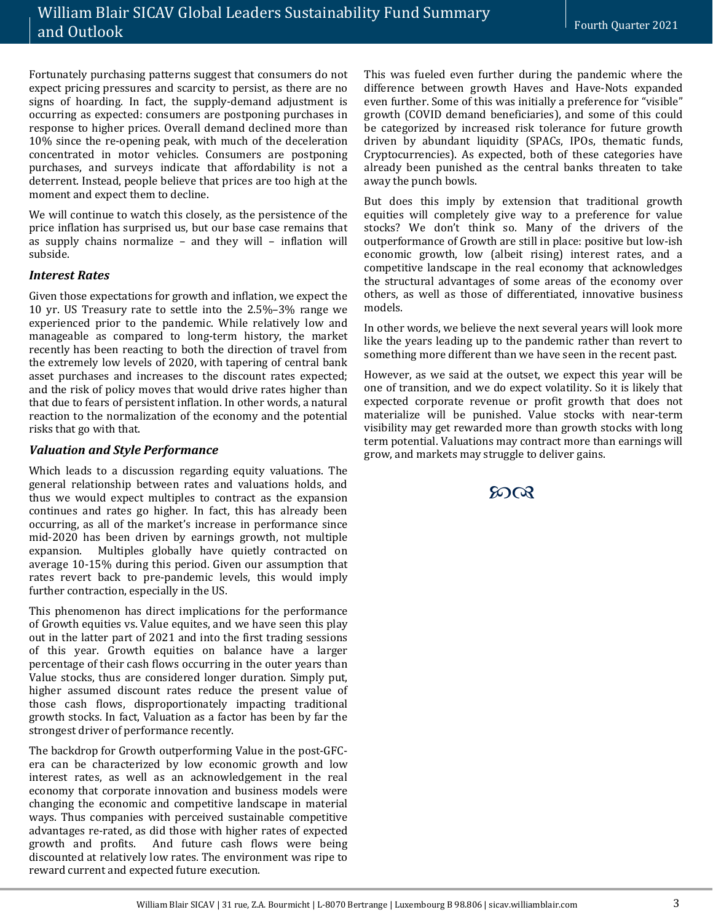Fortunately purchasing patterns suggest that consumers do not expect pricing pressures and scarcity to persist, as there are no signs of hoarding. In fact, the supply-demand adjustment is occurring as expected: consumers are postponing purchases in response to higher prices. Overall demand declined more than 10% since the re-opening peak, with much of the deceleration concentrated in motor vehicles. Consumers are postponing purchases, and surveys indicate that affordability is not a deterrent. Instead, people believe that prices are too high at the moment and expect them to decline.

We will continue to watch this closely, as the persistence of the price inflation has surprised us, but our base case remains that as supply chains normalize – and they will – inflation will subside.

#### *Interest Rates*

Given those expectations for growth and inflation, we expect the 10 yr. US Treasury rate to settle into the 2.5%–3% range we experienced prior to the pandemic. While relatively low and manageable as compared to long-term history, the market recently has been reacting to both the direction of travel from the extremely low levels of 2020, with tapering of central bank asset purchases and increases to the discount rates expected; and the risk of policy moves that would drive rates higher than that due to fears of persistent inflation. In other words, a natural reaction to the normalization of the economy and the potential risks that go with that.

#### *Valuation and Style Performance*

Which leads to a discussion regarding equity valuations. The general relationship between rates and valuations holds, and thus we would expect multiples to contract as the expansion continues and rates go higher. In fact, this has already been occurring, as all of the market's increase in performance since mid-2020 has been driven by earnings growth, not multiple expansion. Multiples globally have quietly contracted on average 10-15% during this period. Given our assumption that rates revert back to pre-pandemic levels, this would imply further contraction, especially in the US.

This phenomenon has direct implications for the performance of Growth equities vs. Value equites, and we have seen this play out in the latter part of 2021 and into the first trading sessions of this year. Growth equities on balance have a larger percentage of their cash flows occurring in the outer years than Value stocks, thus are considered longer duration. Simply put, higher assumed discount rates reduce the present value of those cash flows, disproportionately impacting traditional growth stocks. In fact, Valuation as a factor has been by far the strongest driver of performance recently.

The backdrop for Growth outperforming Value in the post-GFCera can be characterized by low economic growth and low interest rates, as well as an acknowledgement in the real economy that corporate innovation and business models were changing the economic and competitive landscape in material ways. Thus companies with perceived sustainable competitive advantages re-rated, as did those with higher rates of expected growth and profits. And future cash flows were being discounted at relatively low rates. The environment was ripe to reward current and expected future execution.

This was fueled even further during the pandemic where the difference between growth Haves and Have-Nots expanded even further. Some of this was initially a preference for "visible" growth (COVID demand beneficiaries), and some of this could be categorized by increased risk tolerance for future growth driven by abundant liquidity (SPACs, IPOs, thematic funds, Cryptocurrencies). As expected, both of these categories have already been punished as the central banks threaten to take away the punch bowls.

But does this imply by extension that traditional growth equities will completely give way to a preference for value stocks? We don't think so. Many of the drivers of the outperformance of Growth are still in place: positive but low-ish economic growth, low (albeit rising) interest rates, and a competitive landscape in the real economy that acknowledges the structural advantages of some areas of the economy over others, as well as those of differentiated, innovative business models.

In other words, we believe the next several years will look more like the years leading up to the pandemic rather than revert to something more different than we have seen in the recent past.

However, as we said at the outset, we expect this year will be one of transition, and we do expect volatility. So it is likely that expected corporate revenue or profit growth that does not materialize will be punished. Value stocks with near-term visibility may get rewarded more than growth stocks with long term potential. Valuations may contract more than earnings will grow, and markets may struggle to deliver gains.

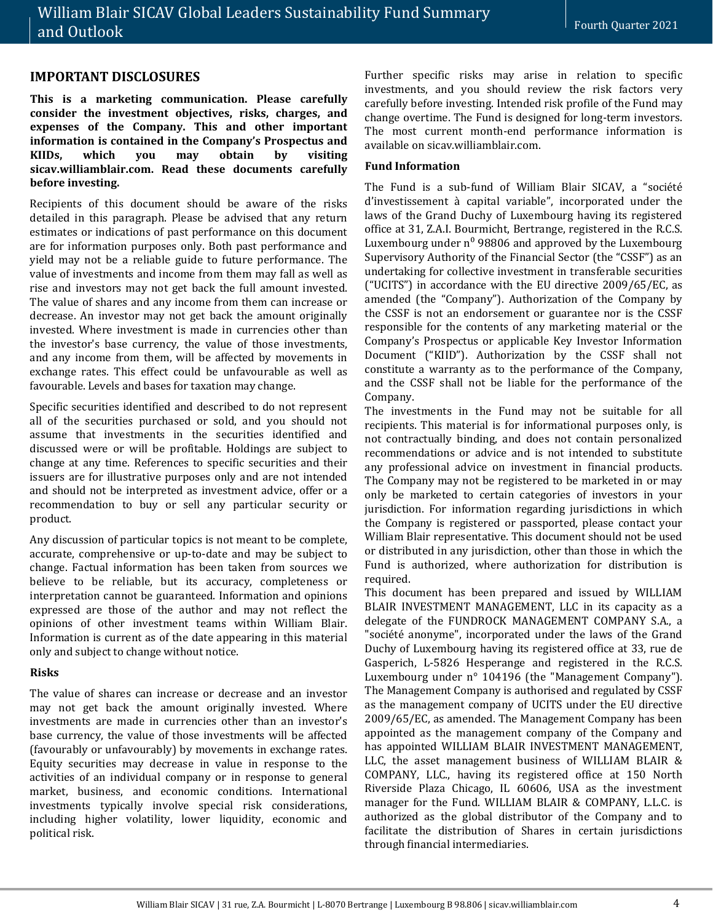## **IMPORTANT DISCLOSURES**

**This is a marketing communication. Please carefully consider the investment objectives, risks, charges, and expenses of the Company. This and other important information is contained in the Company's Prospectus and KIIDs, which you may obtain by visiting sicav.williamblair.com. Read these documents carefully before investing.**

Recipients of this document should be aware of the risks detailed in this paragraph. Please be advised that any return estimates or indications of past performance on this document are for information purposes only. Both past performance and yield may not be a reliable guide to future performance. The value of investments and income from them may fall as well as rise and investors may not get back the full amount invested. The value of shares and any income from them can increase or decrease. An investor may not get back the amount originally invested. Where investment is made in currencies other than the investor's base currency, the value of those investments, and any income from them, will be affected by movements in exchange rates. This effect could be unfavourable as well as favourable. Levels and bases for taxation may change.

Specific securities identified and described to do not represent all of the securities purchased or sold, and you should not assume that investments in the securities identified and discussed were or will be profitable. Holdings are subject to change at any time. References to specific securities and their issuers are for illustrative purposes only and are not intended and should not be interpreted as investment advice, offer or a recommendation to buy or sell any particular security or product.

Any discussion of particular topics is not meant to be complete, accurate, comprehensive or up-to-date and may be subject to change. Factual information has been taken from sources we believe to be reliable, but its accuracy, completeness or interpretation cannot be guaranteed. Information and opinions expressed are those of the author and may not reflect the opinions of other investment teams within William Blair. Information is current as of the date appearing in this material only and subject to change without notice.

#### **Risks**

The value of shares can increase or decrease and an investor may not get back the amount originally invested. Where investments are made in currencies other than an investor's base currency, the value of those investments will be affected (favourably or unfavourably) by movements in exchange rates. Equity securities may decrease in value in response to the activities of an individual company or in response to general market, business, and economic conditions. International investments typically involve special risk considerations, including higher volatility, lower liquidity, economic and political risk.

Further specific risks may arise in relation to specific investments, and you should review the risk factors very carefully before investing. Intended risk profile of the Fund may change overtime. The Fund is designed for long-term investors. The most current month-end performance information is available on sicav.williamblair.com.

### **Fund Information**

The Fund is a sub-fund of William Blair SICAV, a "société d'investissement à capital variable", incorporated under the laws of the Grand Duchy of Luxembourg having its registered office at 31, Z.A.I. Bourmicht, Bertrange, registered in the R.C.S. Luxembourg under  $n^0$  98806 and approved by the Luxembourg Supervisory Authority of the Financial Sector (the "CSSF") as an undertaking for collective investment in transferable securities ("UCITS") in accordance with the EU directive 2009/65/EC, as amended (the "Company"). Authorization of the Company by the CSSF is not an endorsement or guarantee nor is the CSSF responsible for the contents of any marketing material or the Company's Prospectus or applicable Key Investor Information Document ("KIID"). Authorization by the CSSF shall not constitute a warranty as to the performance of the Company, and the CSSF shall not be liable for the performance of the Company.

The investments in the Fund may not be suitable for all recipients. This material is for informational purposes only, is not contractually binding, and does not contain personalized recommendations or advice and is not intended to substitute any professional advice on investment in financial products. The Company may not be registered to be marketed in or may only be marketed to certain categories of investors in your jurisdiction. For information regarding jurisdictions in which the Company is registered or passported, please contact your William Blair representative. This document should not be used or distributed in any jurisdiction, other than those in which the Fund is authorized, where authorization for distribution is required.

This document has been prepared and issued by WILLIAM BLAIR INVESTMENT MANAGEMENT, LLC in its capacity as a delegate of the FUNDROCK MANAGEMENT COMPANY S.A., a "société anonyme", incorporated under the laws of the Grand Duchy of Luxembourg having its registered office at 33, rue de Gasperich, L-5826 Hesperange and registered in the R.C.S. Luxembourg under n° 104196 (the "Management Company"). The Management Company is authorised and regulated by CSSF as the management company of UCITS under the EU directive 2009/65/EC, as amended. The Management Company has been appointed as the management company of the Company and has appointed WILLIAM BLAIR INVESTMENT MANAGEMENT, LLC, the asset management business of WILLIAM BLAIR & COMPANY, LLC., having its registered office at 150 North Riverside Plaza Chicago, IL 60606, USA as the investment manager for the Fund. WILLIAM BLAIR & COMPANY, L.L.C. is authorized as the global distributor of the Company and to facilitate the distribution of Shares in certain jurisdictions through financial intermediaries.